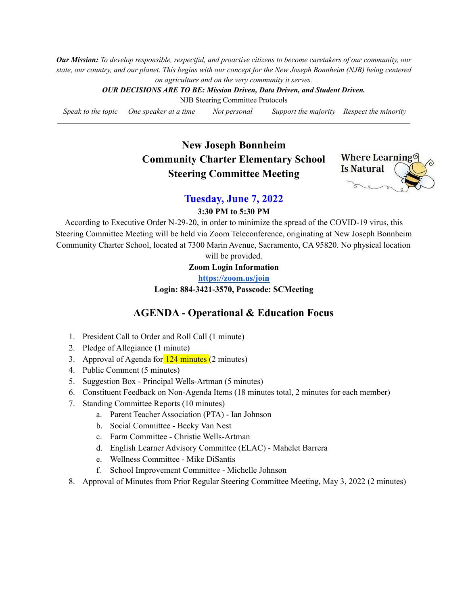**Our Mission:** To develop responsible, respectful, and proactive citizens to become caretakers of our community, our state, our country, and our planet. This begins with our concept for the New Joseph Bonnheim (NJB) being centered *on agriculture and on the very community it serves.*

*OUR DECISIONS ARE TO BE: Mission Driven, Data Driven, and Student Driven.*

NJB Steering Committee Protocols

*Speak to the topic One speaker at a time Not personal Support the majority Respect the minority*

# **New Joseph Bonnheim Community Charter Elementary School Steering Committee Meeting**



## **Tuesday, June 7, 2022**

#### **3:30 PM to 5:30 PM**

According to Executive Order N-29-20, in order to minimize the spread of the COVID-19 virus, this Steering Committee Meeting will be held via Zoom Teleconference, originating at New Joseph Bonnheim Community Charter School, located at 7300 Marin Avenue, Sacramento, CA 95820. No physical location

will be provided.

#### **Zoom Login Information**

**<https://zoom.us/join>**

**Login: 884-3421-3570, Passcode: SCMeeting**

# **AGENDA - Operational & Education Focus**

- 1. President Call to Order and Roll Call (1 minute)
- 2. Pledge of Allegiance (1 minute)
- 3. Approval of Agenda for  $\frac{124 \text{ minutes}}{2 \text{ minutes}}$
- 4. Public Comment (5 minutes)
- 5. Suggestion Box Principal Wells-Artman (5 minutes)
- 6. Constituent Feedback on Non-Agenda Items (18 minutes total, 2 minutes for each member)
- 7. Standing Committee Reports (10 minutes)
	- a. Parent Teacher Association (PTA) Ian Johnson
	- b. Social Committee Becky Van Nest
	- c. Farm Committee Christie Wells-Artman
	- d. English Learner Advisory Committee (ELAC) Mahelet Barrera
	- e. Wellness Committee Mike DiSantis
	- f. School Improvement Committee Michelle Johnson
- 8. Approval of Minutes from Prior Regular Steering Committee Meeting, May 3, 2022 (2 minutes)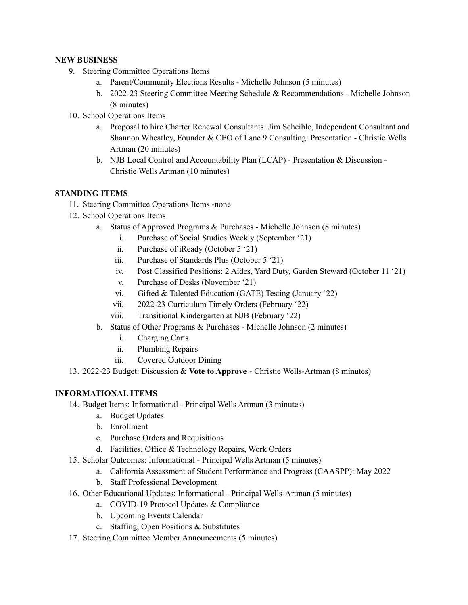#### **NEW BUSINESS**

- 9. Steering Committee Operations Items
	- a. Parent/Community Elections Results Michelle Johnson (5 minutes)
	- b. 2022-23 Steering Committee Meeting Schedule & Recommendations Michelle Johnson (8 minutes)
- 10. School Operations Items
	- a. Proposal to hire Charter Renewal Consultants: Jim Scheible, Independent Consultant and Shannon Wheatley, Founder & CEO of Lane 9 Consulting: Presentation - Christie Wells Artman (20 minutes)
	- b. NJB Local Control and Accountability Plan (LCAP) Presentation & Discussion Christie Wells Artman (10 minutes)

#### **STANDING ITEMS**

- 11. Steering Committee Operations Items -none
- 12. School Operations Items
	- a. Status of Approved Programs & Purchases Michelle Johnson (8 minutes)
		- i. Purchase of Social Studies Weekly (September '21)
		- ii. Purchase of iReady (October 5 '21)
		- iii. Purchase of Standards Plus (October 5 '21)
		- iv. Post Classified Positions: 2 Aides, Yard Duty, Garden Steward (October 11 '21)
		- v. Purchase of Desks (November '21)
		- vi. Gifted & Talented Education (GATE) Testing (January '22)
		- vii. 2022-23 Curriculum Timely Orders (February '22)
		- viii. Transitional Kindergarten at NJB (February '22)
	- b. Status of Other Programs & Purchases Michelle Johnson (2 minutes)
		- i. Charging Carts
		- ii. Plumbing Repairs
		- iii. Covered Outdoor Dining
- 13. 2022-23 Budget: Discussion & **Vote to Approve** Christie Wells-Artman (8 minutes)

#### **INFORMATIONAL ITEMS**

- 14. Budget Items: Informational Principal Wells Artman (3 minutes)
	- a. Budget Updates
	- b. Enrollment
	- c. Purchase Orders and Requisitions
	- d. Facilities, Office & Technology Repairs, Work Orders
- 15. Scholar Outcomes: Informational Principal Wells Artman (5 minutes)
	- a. California Assessment of Student Performance and Progress (CAASPP): May 2022
	- b. Staff Professional Development
- 16. Other Educational Updates: Informational Principal Wells-Artman (5 minutes)
	- a. COVID-19 Protocol Updates & Compliance
	- b. Upcoming Events Calendar
	- c. Staffing, Open Positions & Substitutes
- 17. Steering Committee Member Announcements (5 minutes)